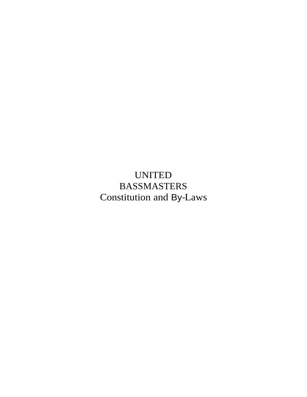UNITED BASSMASTERS Constitution and By-Laws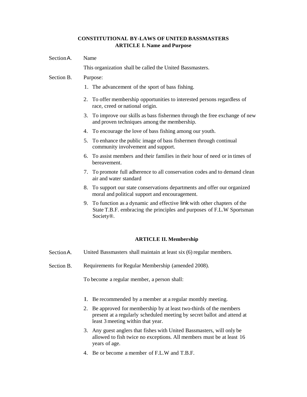# **CONSTITUTIONAL BY-LAWS OF UNITED BASSMASTERS ARTICLE I. Name and Purpose**

SectionA. Name

This organization shall be called the United Bassmasters.

#### Section B. Purpose:

- 1. The advancement of the sport of bass fishing.
- 2. To offer membership opportunities to interested persons regardless of race, creed or national origin.
- 3. To improve our skills as bass fishermen through the free exchange of new and proven techniques among the membership.
- 4. To encourage the love of bass fishing among our youth.
- 5. To enhance the public image of bass fishermen through continual community involvement and support.
- 6. To assist members and their families in their hour of need or in times of bereavement.
- 7. To promote full adherence to all conservation codes and to demand clean air and water standard
- 8. To support our state conservations departments and offer our organized moral and political support and encouragement.
- 9. To function as a dynamic and effective link with other chapters of the State T.B.F. embracing the principles and purposes of F.L.W Sportsman Society®.

### **ARTICLE II. Membership**

- SectionA. United Bassmasters shall maintain at least six (6) regular members.
- Section B. Requirements for Regular Membership (amended 2008).

To become a regular member, a person shall:

- I. Be recommended by a member at a regular monthly meeting.
- 2. Be approved for membership by at least two-thirds of the members present at a regularly scheduled meeting by secret ballot and attend at least 3 meeting within that year.
- 3. Any guest anglers that fishes with United Bassmasters, will only be allowed to fish twice no exceptions. All members must be at least 16 years of age.
- 4. Be or become a member of F.L.W and T.B.F.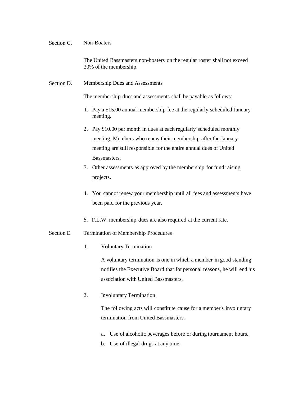#### Section C. Non-Boaters

The United Bassmasters non-boaters on the regular roster shall not exceed 30% of the membership.

Section D. Membership Dues and Assessments

The membership dues and assessments shall be payable as follows:

- 1. Pay a \$15.00 annual membership fee at the regularly scheduled January meeting.
- 2. Pay \$10.00 per month in dues at each regularly scheduled monthly meeting. Members who renew their membership after the January meeting are still responsible for the entire annual dues of United Bassmasters.
- 3. Other assessments as approved by the membership for fund raising projects.
- 4. You cannot renew your membership until all fees and assessments have been paid for the previous year.
- *5.* F.L.W. membership dues are also required at the current rate.

#### Section E. Termination of Membership Procedures

1. Voluntary Termination

A voluntary termination is one in which a member in good standing notifies the Executive Board that for personal reasons, he will end his association with United Bassmasters.

2. Involuntary Termination

The following acts will constitute cause for a member's involuntary termination from United Bassmasters.

- a. Use of alcoholic beverages before or during tournament hours.
- b. Use of illegal drugs at any time.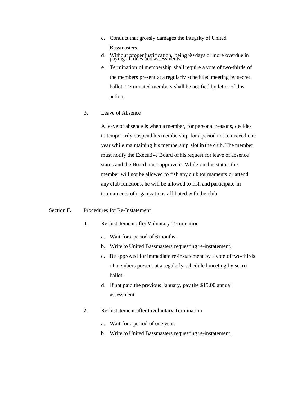- c. Conduct that grossly damages the integrity of United Bassmasters.
- d. Without proper justification, being 90 days or more overdue in paying all dues and assessments.
- e. Termination of membership shall require a vote of two-thirds of the members present at a regularly scheduled meeting by secret ballot. Terminated members shall be notified by letter of this action.
- 3. Leave of Absence

A leave of absence is when a member, for personal reasons, decides to temporarily suspend his membership for a period not to exceed one year while maintaining his membership slot in the club. The member must notify the Executive Board of his request for leave of absence status and the Board must approve it. While on this status, the member will not be allowed to fish any club tournaments or attend any club functions, he will be allowed to fish and participate in tournaments of organizations affiliated with the club.

#### Section F. Procedures for Re-Instatement

- 1. Re-Instatement after Voluntary Termination
	- a. Wait for a period of 6 months.
	- b. Write to United Bassmasters requesting re-instatement.
	- c. Be approved for immediate re-instatement by a vote of two-thirds of members present at a regularly scheduled meeting by secret ballot.
	- d. If not paid the previous January, pay the \$15.00 annual assessment.
- 2. Re-Instatement after Involuntary Termination
	- a. Wait for a period of one year.
	- b. Write to United Bassmasters requesting re-instatement.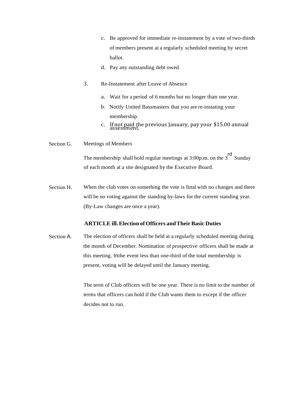- c. Be approved for immediate re-instatement by a vote of two-thirds of members present at a regularly scheduled meeting by secret ballot.
- d. Pay any outstanding debt owed.
- 3. Re-Instatement after Leave of Absence
	- a. Wait for a period of 6 months but no longer than one year.
	- b. Notify United Bassmasters that you are re-instating your membership.
	- c. If not paid the previous January, pay your \$15.00 annual assessment.
- Section G. Meetings of Members

The membership shall hold regular meetings at 3:00p.m. on the 3<sup>rd</sup> Sunday of each month at a site designated by the Executive Board.

Section H. When the club votes on something the vote is final with no changes and there will be no voting against the standing by-laws for the current standing year. (By-Law changes are once a year).

# **ARTICLE ill.Election of Officers andTheirBasic Duties**

Section A. The election of officers shall be held at a regularly scheduled meeting during the month of December. Nomination of prospective officers shall be made at this meeting. Inthe event less than one-third of the total membership is present, voting will be delayed until the January meeting.

> The term of Club officers will be one year. There is no limit to the number of terms that officers can hold if the Club wants them to except if the officer decides not to run.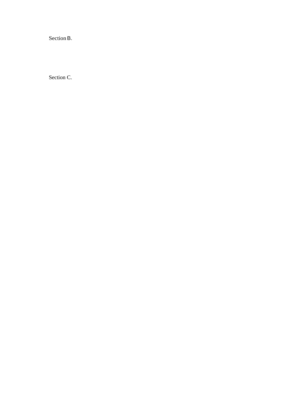Section B.

Section C.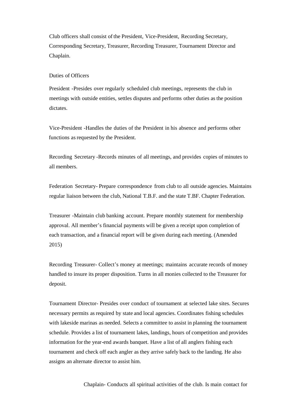Club officers shall consist of the President, Vice-President, Recording Secretary, Corresponding Secretary, Treasurer, Recording Treasurer, Tournament Director and Chaplain.

### Duties of Officers

President -Presides over regularly scheduled club meetings, represents the club in meetings with outside entities, settles disputes and performs other duties as the position dictates.

Vice-President -Handles the duties of the President in his absence and performs other functions as requested by the President.

Recording Secretary -Records minutes of all meetings, and provides copies of minutes to all members.

Federation Secretary- Prepare correspondence from club to all outside agencies. Maintains regular liaison between the club, National T.B.F. and the state T.BF. Chapter Federation.

Treasurer -Maintain club banking account. Prepare monthly statement for membership approval. All member's financial payments will be given a receipt upon completion of each transaction, and a financial report will be given during each meeting. (Amended 2015)

Recording Treasurer- Collect's money at meetings; maintains accurate records of money handled to insure its proper disposition. Turns in all monies collected to the Treasurer for deposit.

Tournament Director- Presides over conduct of tournament at selected lake sites. Secures necessary permits as required by state and local agencies. Coordinates fishing schedules with lakeside marinas as needed. Selects a committee to assist in planning the tournament schedule. Provides a list of tournament lakes, landings, hours of competition and provides information for the year-end awards banquet. Have a list of all anglers fishing each tournament and check off each angler as they arrive safely back to the landing. He also assigns an alternate director to assist him.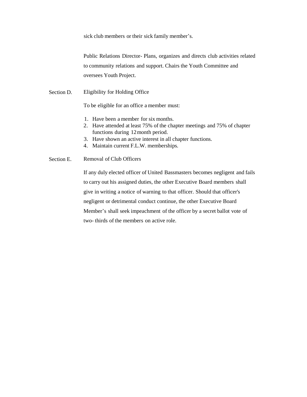sick club members or their sick family member's.

Public Relations Director- Plans, organizes and directs club activities related to community relations and support. Chairs the Youth Committee and oversees Youth Project.

Section D. Eligibility for Holding Office

To be eligible for an office a member must:

- 1. Have been a member for six months.
- 2. Have attended at least 75% of the chapter meetings and 75% of chapter functions during 12month period.
- 3. Have shown an active interest in all chapter functions.
- 4. Maintain current F.L.W. memberships.

#### Section E. Removal of Club Officers

If any duly elected officer of United Bassmasters becomes negligent and fails to carry out his assigned duties, the other Executive Board members shall give in writing a notice of warning to that officer. Should that officer's negligent or detrimental conduct continue, the other Executive Board Member's shall seek impeachment of the officer by a secret ballot vote of two- thirds of the members on active role.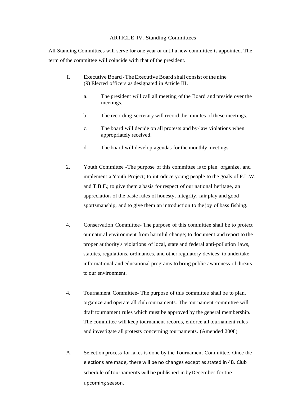#### ARTICLE IV. Standing Committees

All Standing Committees will serve for one year or until a new committee is appointed. The term of the committee will coincide with that of the president.

- I. Executive Board -TheExecutive Board shall consist ofthe nine (9) Elected officers as designated in Article III.
	- a. The president will call all meeting of the Board and preside over the meetings.
	- b. The recording secretary will record the minutes of these meetings.
	- c. The board will decide on all protests and by-law violations when appropriately received.
	- d. The board will develop agendas for the monthly meetings.
- 2. Youth Committee -The purpose of this committee is to plan, organize, and implement a Youth Project; to introduce young people to the goals of F.L.W. and T.B.F.; to give them a basis for respect of our national heritage, an appreciation of the basic rules of honesty, integrity, fair play and good sportsmanship, and to give them an introduction to the joy of bass fishing.
- 4. Conservation Committee- The purpose of this committee shall be to protect our natural environment from harmful change; to document and report to the proper authority's violations of local, state and federal anti-pollution laws, statutes, regulations, ordinances, and other regulatory devices; to undertake informational and educational programs to bring public awareness of threats to our environment.
- 4. Tournament Committee- The purpose of this committee shall be to plan, organize and operate all club tournaments. The tournament committee will draft tournament rules which must be approved by the general membership. The committee will keep tournament records, enforce all tournament rules and investigate all protests concerning tournaments. (Amended 2008)
- A. Selection process for lakes is done by the Tournament Committee. Once the elections are made, there will be no changes except as stated in 4B. Club schedule of tournaments will be published in by December forthe upcoming season.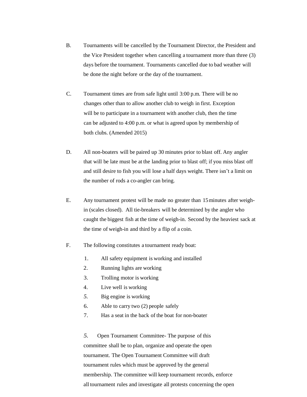- B. Tournaments will be cancelled by the Tournament Director, the President and the Vice President together when cancelling a tournament more than three (3) days before the tournament. Tournaments cancelled due to bad weather will be done the night before or the day of the tournament.
- C. Tournament times are from safe light until 3:00 p.m. There will be no changes other than to allow another club to weigh in first. Exception will be to participate in a tournament with another club, then the time can be adjusted to 4:00 p.m. or what is agreed upon by membership of both clubs. (Amended 2015)
- D. All non-boaters will be paired up 30 minutes prior to blast off. Any angler that will be late must be at the landing prior to blast off; if you miss blast off and still desire to fish you will lose a half days weight. There isn't a limit on the number of rods a co-angler can bring.
- E. Any tournament protest will be made no greater than 15minutes after weighin (scales closed). All tie-breakers will be determined by the angler who caught the biggest fish at the time of weigh-in. Second by the heaviest sack at the time of weigh-in and third by a flip of a coin.
- F. The following constitutes a tournament ready boat:
	- 1. All safety equipment is working and installed
	- 2. Running lights are working
	- 3. Trolling motor is working
	- 4. Live well is working
	- *5.* Big engine is working
	- 6. Able to carry two (2) people safely
	- 7. Has a seat in the back of the boat for non-boater

*5.* Open Tournament Committee- The purpose of this committee shall be to plan, organize and operate the open tournament. The Open Tournament Committee will draft tournament rules which must be approved by the general membership. The committee will keep tournament records, enforce all tournament rules and investigate all protests concerning the open